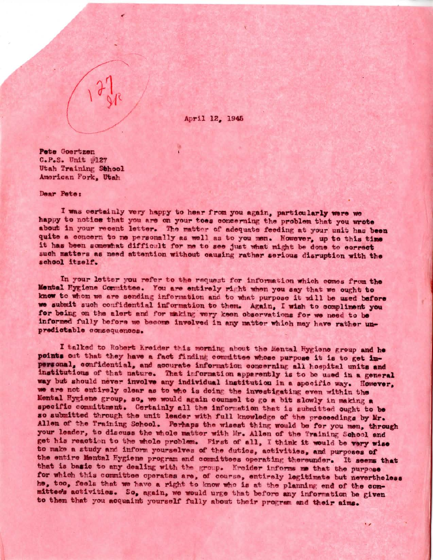April 12, 1945

Pete Goertzen C.P.S. Unit #127 Utah Training Sthool American Fork, Utah

Dear Pete:

I was certainly very happy to hear from you again, particularly were we happy to notice that you are on your toes concerning the problem that you wrote about in your recent letter. The matter of adequate feeding at your unit has been quite a concern to me personally as well as to you men. However, up to this time it has been somewhat difficult for me to see just what might be done to correct such matters as need attention without causing rather serious disruption with the school itself.

In your letter you refer to the request for information which comes from the Mental Hygiene Committee. You are entirely right when you say that we ought to know to whom we are sending information and to what purpose it will be used before we submit such confidential information to them. Again, I wish to compliment you for being on the alert and for making very keen observations for we need to be informed fully before we become involved in any matter which may have rather unpredictable consequences.

I talked to Robert Kreider this morning about the Mental Hygiene group and he points out that they have a fact finding committee whose purpose it is to get impersonal, confidential, and accurate information concerning all hospital units and institutions of that nature. That information apparently is to be used in a general way but should never involve any individual institution in a specific way. However, we are not entirely clear as to who is doing the investigating even within the Mental Hygiene group, so, we would again counsel to go a bit slowly in making a specific committment. Certainly all the information that is submitted ought to be so submitted through the unit leader with full knowledge of the proceedings by Mr. Allen of the Training School. Perhaps the wisest thing would be for you men, through your leader, to discuss the whole matter with Mr. Allen of the Training School and get his reaction to the whole problem. First of all, I think it would be very wise to make a study and inform yourselves of the duties, activities, and purposes of the entire Mental Hygiene program and committees operating thereunder. It seems that that is basic to any dealing with the group. Kreider informs me that the purpose for which this committee operates are, of course, entirely logitimate but nevertheless he, too, feels that we have a right to know who is at the planning end of the conmittee's activities. So, again, we would urge that before any information be given to them that you acquaint yourself fully about their program and their aims.

v.